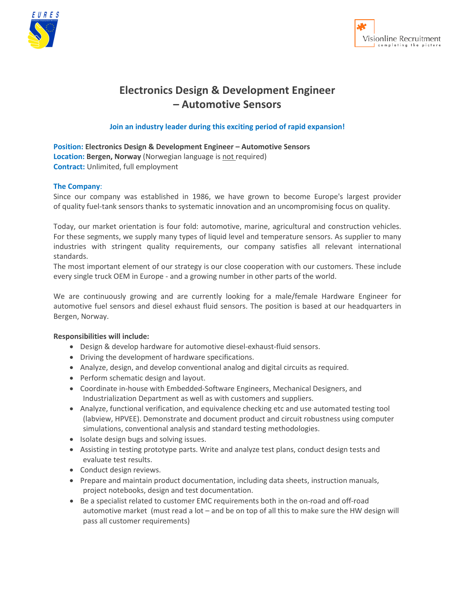



# **Electronics Design & Development Engineer – Automotive Sensors**

## **Join an industry leader during this exciting period of rapid expansion!**

**Position: Electronics Design & Development Engineer – Automotive Sensors** Location: Bergen, Norway (Norwegian language is not required) **Contract:** Unlimited, full employment

### **The Company**:

Since our company was established in 1986, we have grown to become Europe's largest provider of quality fuel-tank sensors thanks to systematic innovation and an uncompromising focus on quality.

Today, our market orientation is four fold: automotive, marine, agricultural and construction vehicles. For these segments, we supply many types of liquid level and temperature sensors. As supplier to many industries with stringent quality requirements, our company satisfies all relevant international standards.

The most important element of our strategy is our close cooperation with our customers. These include every single truck OEM in Europe - and a growing number in other parts of the world.

We are continuously growing and are currently looking for a male/female Hardware Engineer for automotive fuel sensors and diesel exhaust fluid sensors. The position is based at our headquarters in Bergen, Norway.

#### **Responsibilities will include:**

- Design & develop hardware for automotive diesel-exhaust-fluid sensors.
- Driving the development of hardware specifications.
- Analyze, design, and develop conventional analog and digital circuits as required.
- Perform schematic design and layout.
- Coordinate in-house with Embedded-Software Engineers, Mechanical Designers, and Industrialization Department as well as with customers and suppliers.
- Analyze, functional verification, and equivalence checking etc and use automated testing tool (labview, HPVEE). Demonstrate and document product and circuit robustness using computer simulations, conventional analysis and standard testing methodologies.
- Isolate design bugs and solving issues.
- Assisting in testing prototype parts. Write and analyze test plans, conduct design tests and evaluate test results.
- Conduct design reviews.
- Prepare and maintain product documentation, including data sheets, instruction manuals, project notebooks, design and test documentation.
- Be a specialist related to customer EMC requirements both in the on-road and off-road automotive market (must read a lot – and be on top of all this to make sure the HW design will pass all customer requirements)